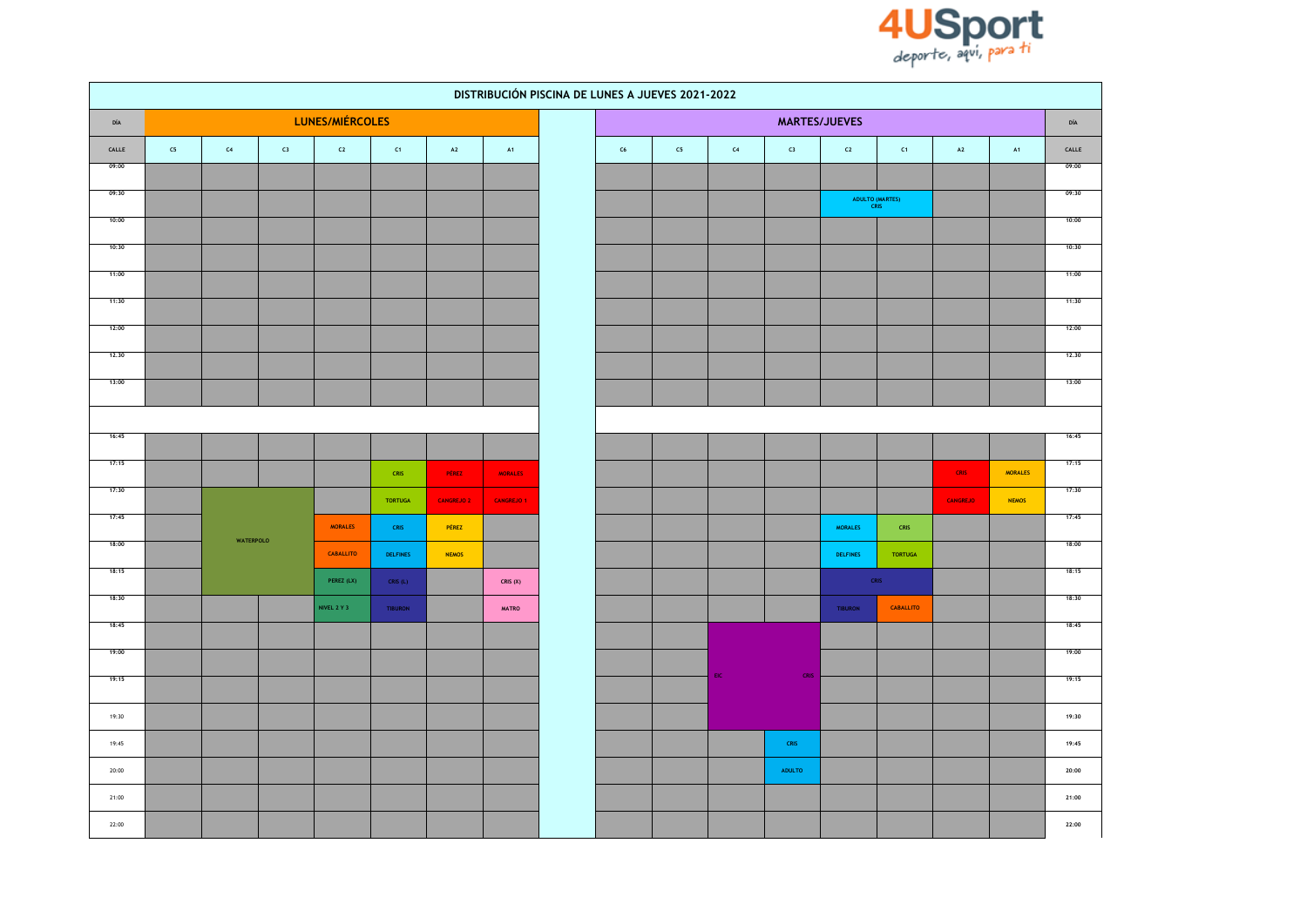

|                               | DISTRIBUCIÓN PISCINA DE LUNES A JUEVES 2021-2022 |                  |    |                  |                 |                   |                   |  |    |            |                |               |                        |                              |                 |                |                               |
|-------------------------------|--------------------------------------------------|------------------|----|------------------|-----------------|-------------------|-------------------|--|----|------------|----------------|---------------|------------------------|------------------------------|-----------------|----------------|-------------------------------|
| DÍA                           |                                                  |                  |    | LUNES/MIÉRCOLES  |                 |                   |                   |  |    |            |                | MARTES/JUEVES |                        |                              |                 |                |                               |
| $\ensuremath{\mathsf{CALLE}}$ | ${\sf C5}$                                       | $\mathsf{C}4$    | C3 | C2               | C1              | $\mathbf{A2}$     | A1                |  | C6 | ${\sf C5}$ | C <sub>4</sub> | ${\sf c}_3$   | $\mathsf{c}\mathsf{z}$ | C1                           | $\mathbf{A2}$   | A1             | $\ensuremath{\mathsf{CALLE}}$ |
| 09:00                         |                                                  |                  |    |                  |                 |                   |                   |  |    |            |                |               |                        |                              |                 |                | 09:00                         |
| 09:30                         |                                                  |                  |    |                  |                 |                   |                   |  |    |            |                |               |                        | ADULTO (MARTES)              |                 |                | 09:30                         |
| 10:00                         |                                                  |                  |    |                  |                 |                   |                   |  |    |            |                |               |                        |                              |                 |                | 10:00                         |
| 10:30                         |                                                  |                  |    |                  |                 |                   |                   |  |    |            |                |               |                        |                              |                 |                | 10:30                         |
| 11:00                         |                                                  |                  |    |                  |                 |                   |                   |  |    |            |                |               |                        |                              |                 |                | 11:00                         |
| 11:30                         |                                                  |                  |    |                  |                 |                   |                   |  |    |            |                |               |                        |                              |                 |                | 11:30                         |
| 12:00                         |                                                  |                  |    |                  |                 |                   |                   |  |    |            |                |               |                        |                              |                 |                | 12:00                         |
| 12,30                         |                                                  |                  |    |                  |                 |                   |                   |  |    |            |                |               |                        |                              |                 |                | 12,30                         |
| 13:00                         |                                                  |                  |    |                  |                 |                   |                   |  |    |            |                |               |                        |                              |                 |                | 13:00                         |
|                               |                                                  |                  |    |                  |                 |                   |                   |  |    |            |                |               |                        |                              |                 |                |                               |
| 16:45                         |                                                  |                  |    |                  |                 |                   |                   |  |    |            |                |               |                        |                              |                 |                | 16:45                         |
| 17:15                         |                                                  |                  |    |                  | CRIS            | <b>PÉREZ</b>      | <b>MORALES</b>    |  |    |            |                |               |                        |                              | <b>CRIS</b>     | <b>MORALES</b> | 17:15                         |
| 17:30                         |                                                  |                  |    |                  |                 |                   |                   |  |    |            |                |               |                        |                              |                 |                | 17:30                         |
| 17:45                         |                                                  |                  |    |                  | <b>TORTUGA</b>  | <b>CANGREJO 2</b> | <b>CANGREJO 1</b> |  |    |            |                |               |                        |                              | <b>CANGREJO</b> | <b>NEMOS</b>   | 17:45                         |
| 18:00                         |                                                  | <b>WATERPOLO</b> |    | <b>MORALES</b>   | CRIS            | PÉREZ             |                   |  |    |            |                |               | <b>MORALES</b>         | ${\sf CRIS}$                 |                 |                | 18:00                         |
| 18:15                         |                                                  |                  |    | <b>CABALLITO</b> | <b>DELFINES</b> | <b>NEMOS</b>      |                   |  |    |            |                |               | <b>DELFINES</b>        | <b>TORTUGA</b>               |                 |                | 18:15                         |
| 18:30                         |                                                  |                  |    | PEREZ (LX)       | CRIS $(L)$      |                   | CRIS $(X)$        |  |    |            |                |               |                        | $\ensuremath{\mathsf{CRIS}}$ |                 |                | 18:30                         |
| 18:45                         |                                                  |                  |    | NIVEL 2 Y 3      | TIBURON         |                   | <b>MATRO</b>      |  |    |            |                |               | TIBURON                | CABALLITO                    |                 |                | 18:45                         |
| 19:00                         |                                                  |                  |    |                  |                 |                   |                   |  |    |            |                |               |                        |                              |                 |                | 19:00                         |
| 19:15                         |                                                  |                  |    |                  |                 |                   |                   |  |    |            | EIC.           | CRIS          |                        |                              |                 |                | 19:15                         |
|                               |                                                  |                  |    |                  |                 |                   |                   |  |    |            |                |               |                        |                              |                 |                |                               |
| 19:30                         |                                                  |                  |    |                  |                 |                   |                   |  |    |            |                |               |                        |                              |                 |                | 19:30                         |
| 19:45                         |                                                  |                  |    |                  |                 |                   |                   |  |    |            |                | ${\sf CRIS}$  |                        |                              |                 |                | 19:45                         |
| 20:00                         |                                                  |                  |    |                  |                 |                   |                   |  |    |            |                | ADULTO        |                        |                              |                 |                | 20:00                         |
| 21:00                         |                                                  |                  |    |                  |                 |                   |                   |  |    |            |                |               |                        |                              |                 |                | 21:00                         |
| 22:00                         |                                                  |                  |    |                  |                 |                   |                   |  |    |            |                |               |                        |                              |                 |                | 22:00                         |